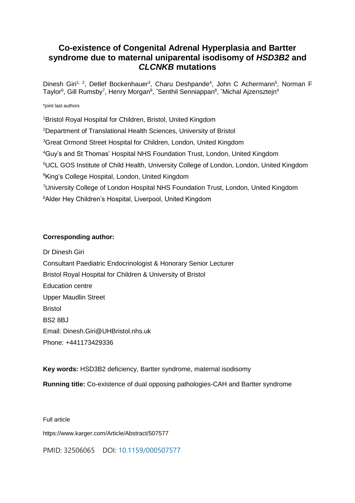## **Co-existence of Congenital Adrenal Hyperplasia and Bartter syndrome due to maternal uniparental isodisomy of** *HSD3B2* **and**  *CLCNKB* **mutations**

Dinesh Giri<sup>1, 2</sup>, Detlef Bockenhauer<sup>3</sup>, Charu Deshpande<sup>4</sup>, John C Achermann<sup>5</sup>, Norman F Taylor<sup>6</sup>, Gill Rumsby<sup>7</sup>, Henry Morgan<sup>8</sup>, \*Senthil Senniappan<sup>8</sup>, \*Michal Ajzensztejn<sup>4</sup>

#### \*joint last authors

<sup>1</sup>Bristol Royal Hospital for Children, Bristol, United Kingdom Department of Translational Health Sciences, University of Bristol Great Ormond Street Hospital for Children, London, United Kingdom Guy's and St Thomas' Hospital NHS Foundation Trust, London, United Kingdom UCL GOS Institute of Child Health, University College of London, London, United Kingdom <sup>6</sup>King's College Hospital, London, United Kingdom University College of London Hospital NHS Foundation Trust, London, United Kingdom Alder Hey Children's Hospital, Liverpool, United Kingdom

#### **Corresponding author:**

Dr Dinesh Giri Consultant Paediatric Endocrinologist & Honorary Senior Lecturer Bristol Royal Hospital for Children & University of Bristol Education centre Upper Maudlin Street Bristol BS2 8BJ Email: [Dinesh.Giri@UHBristol.nhs.uk](mailto:Dinesh.Giri@UHBristol.nhs.uk) Phone: +441173429336

**Key words:** HSD3B2 deficiency, Bartter syndrome, maternal isodisomy

**Running title:** Co-existence of dual opposing pathologies-CAH and Bartter syndrome

Full article

https://www.karger.com/Article/Abstract/507577

PMID: 32506065 DOI: [10.1159/000507577](https://doi.org/10.1159/000507577)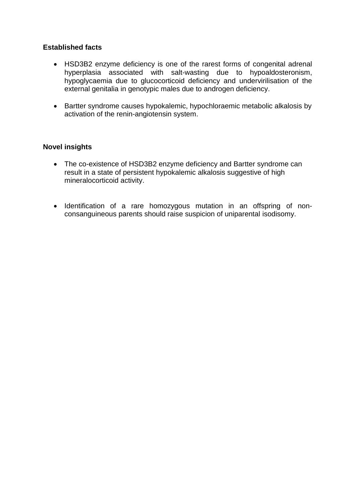## **Established facts**

- HSD3B2 enzyme deficiency is one of the rarest forms of congenital adrenal hyperplasia associated with salt-wasting due to hypoaldosteronism, hypoglycaemia due to glucocorticoid deficiency and undervirilisation of the external genitalia in genotypic males due to androgen deficiency.
- Bartter syndrome causes hypokalemic, hypochloraemic metabolic alkalosis by activation of the renin-angiotensin system.

## **Novel insights**

- The co-existence of HSD3B2 enzyme deficiency and Bartter syndrome can result in a state of persistent hypokalemic alkalosis suggestive of high mineralocorticoid activity.
- Identification of a rare homozygous mutation in an offspring of nonconsanguineous parents should raise suspicion of uniparental isodisomy.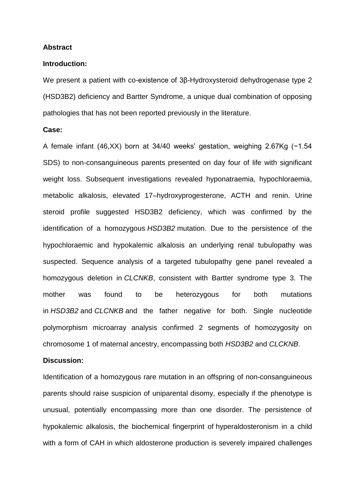#### **Abstract**

#### **Introduction:**

We present a patient with co-existence of 3β-Hydroxysteroid dehydrogenase type 2 (HSD3B2) deficiency and Bartter Syndrome, a unique dual combination of opposing pathologies that has not been reported previously in the literature.

### **Case:**

A female infant (46,XX) born at 34/40 weeks' gestation, weighing 2.67Kg (−1.54 SDS) to non-consanguineous parents presented on day four of life with significant weight loss. Subsequent investigations revealed hyponatraemia, hypochloraemia, metabolic alkalosis, elevated 17–hydroxyprogesterone, ACTH and renin. Urine steroid profile suggested HSD3B2 deficiency, which was confirmed by the identification of a homozygous *HSD3B2* mutation. Due to the persistence of the hypochloraemic and hypokalemic alkalosis an underlying renal tubulopathy was suspected. Sequence analysis of a targeted tubulopathy gene panel revealed a homozygous deletion in *CLCNKB*, consistent with Bartter syndrome type 3. The mother was found to be heterozygous for both mutations in *HSD3B2* and *CLCNKB* and the father negative for both. Single nucleotide polymorphism microarray analysis confirmed 2 segments of homozygosity on chromosome 1 of maternal ancestry, encompassing both *HSD3B2* and *CLCKNB*.

#### **Discussion:**

Identification of a homozygous rare mutation in an offspring of non-consanguineous parents should raise suspicion of uniparental disomy, especially if the phenotype is unusual, potentially encompassing more than one disorder. The persistence of hypokalemic alkalosis, the biochemical fingerprint of hyperaldosteronism in a child with a form of CAH in which aldosterone production is severely impaired challenges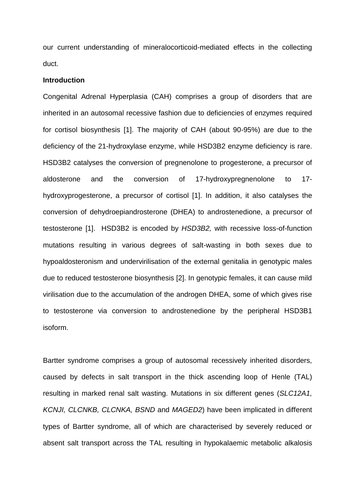our current understanding of mineralocorticoid-mediated effects in the collecting duct.

#### **Introduction**

Congenital Adrenal Hyperplasia (CAH) comprises a group of disorders that are inherited in an autosomal recessive fashion due to deficiencies of enzymes required for cortisol biosynthesis [1]. The majority of CAH (about 90-95%) are due to the deficiency of the 21-hydroxylase enzyme, while HSD3B2 enzyme deficiency is rare. HSD3B2 catalyses the conversion of pregnenolone to progesterone, a precursor of aldosterone and the conversion of 17-hydroxypregnenolone to 17 hydroxyprogesterone, a precursor of cortisol [1]. In addition, it also catalyses the conversion of dehydroepiandrosterone (DHEA) to androstenedione, a precursor of testosterone [1]. HSD3B2 is encoded by *HSD3B2,* with recessive loss-of-function mutations resulting in various degrees of salt-wasting in both sexes due to hypoaldosteronism and undervirilisation of the external genitalia in genotypic males due to reduced testosterone biosynthesis [2]. In genotypic females, it can cause mild virilisation due to the accumulation of the androgen DHEA, some of which gives rise to testosterone via conversion to androstenedione by the peripheral HSD3B1 isoform.

Bartter syndrome comprises a group of autosomal recessively inherited disorders, caused by defects in salt transport in the thick ascending loop of Henle (TAL) resulting in marked renal salt wasting. Mutations in six different genes (*SLC12A1, KCNJI, CLCNKB, CLCNKA, BSND* and *MAGED2*) have been implicated in different types of Bartter syndrome, all of which are characterised by severely reduced or absent salt transport across the TAL resulting in hypokalaemic metabolic alkalosis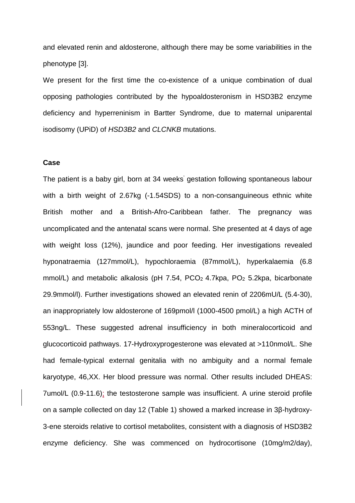and elevated renin and aldosterone, although there may be some variabilities in the phenotype [3].

We present for the first time the co-existence of a unique combination of dual opposing pathologies contributed by the hypoaldosteronism in HSD3B2 enzyme deficiency and hyperreninism in Bartter Syndrome, due to maternal uniparental isodisomy (UPiD) of *HSD3B2* and *CLCNKB* mutations.

#### **Case**

The patient is a baby girl, born at 34 weeks' gestation following spontaneous labour with a birth weight of 2.67kg (-1.54SDS) to a non-consanguineous ethnic white British mother and a British-Afro-Caribbean father. The pregnancy was uncomplicated and the antenatal scans were normal. She presented at 4 days of age with weight loss (12%), jaundice and poor feeding. Her investigations revealed hyponatraemia (127mmol/L), hypochloraemia (87mmol/L), hyperkalaemia (6.8 mmol/L) and metabolic alkalosis (pH 7.54, PCO<sub>2</sub> 4.7kpa, PO<sub>2</sub> 5.2kpa, bicarbonate 29.9mmol/l). Further investigations showed an elevated renin of 2206mU/L (5.4-30), an inappropriately low aldosterone of 169pmol/l (1000-4500 pmol/L) a high ACTH of 553ng/L. These suggested adrenal insufficiency in both mineralocorticoid and glucocorticoid pathways. 17-Hydroxyprogesterone was elevated at >110nmol/L. She had female-typical external genitalia with no ambiguity and a normal female karyotype, 46,XX. Her blood pressure was normal. Other results included DHEAS: 7umol/L (0.9-11.6); the testosterone sample was insufficient. A urine steroid profile on a sample collected on day 12 (Table 1) showed a marked increase in 3β-hydroxy-3-ene steroids relative to cortisol metabolites, consistent with a diagnosis of HSD3B2 enzyme deficiency. She was commenced on hydrocortisone (10mg/m2/day),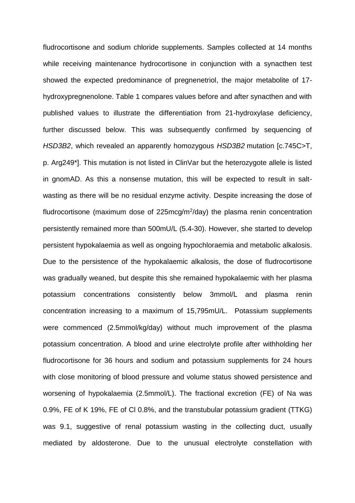fludrocortisone and sodium chloride supplements. Samples collected at 14 months while receiving maintenance hydrocortisone in conjunction with a synacthen test showed the expected predominance of pregnenetriol, the major metabolite of 17 hydroxypregnenolone. Table 1 compares values before and after synacthen and with published values to illustrate the differentiation from 21-hydroxylase deficiency, further discussed below. This was subsequently confirmed by sequencing of *HSD3B2*, which revealed an apparently homozygous *HSD3B2* mutation [c.745C>T, p. Arg249\*]. This mutation is not listed in ClinVar but the heterozygote allele is listed in gnomAD. As this a nonsense mutation, this will be expected to result in saltwasting as there will be no residual enzyme activity. Despite increasing the dose of fludrocortisone (maximum dose of 225mcg/m<sup>2</sup>/day) the plasma renin concentration persistently remained more than 500mU/L (5.4-30). However, she started to develop persistent hypokalaemia as well as ongoing hypochloraemia and metabolic alkalosis. Due to the persistence of the hypokalaemic alkalosis, the dose of fludrocortisone was gradually weaned, but despite this she remained hypokalaemic with her plasma potassium concentrations consistently below 3mmol/L and plasma renin concentration increasing to a maximum of 15,795mU/L. Potassium supplements were commenced (2.5mmol/kg/day) without much improvement of the plasma potassium concentration. A blood and urine electrolyte profile after withholding her fludrocortisone for 36 hours and sodium and potassium supplements for 24 hours with close monitoring of blood pressure and volume status showed persistence and worsening of hypokalaemia (2.5mmol/L). The fractional excretion (FE) of Na was 0.9%, FE of K 19%, FE of Cl 0.8%, and the transtubular potassium gradient (TTKG) was 9.1, suggestive of renal potassium wasting in the collecting duct, usually mediated by aldosterone. Due to the unusual electrolyte constellation with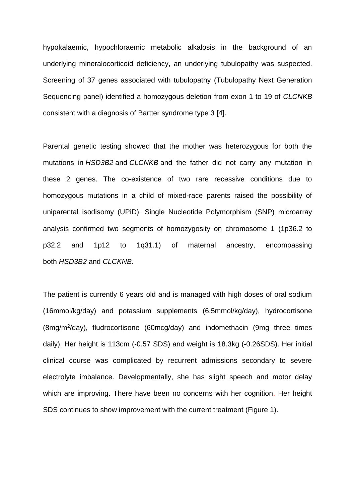hypokalaemic, hypochloraemic metabolic alkalosis in the background of an underlying mineralocorticoid deficiency, an underlying tubulopathy was suspected. Screening of 37 genes associated with tubulopathy (Tubulopathy Next Generation Sequencing panel) identified a homozygous deletion from exon 1 to 19 of *CLCNKB*  consistent with a diagnosis of Bartter syndrome type 3 [4].

Parental genetic testing showed that the mother was heterozygous for both the mutations in *HSD3B2* and *CLCNKB* and the father did not carry any mutation in these 2 genes. The co-existence of two rare recessive conditions due to homozygous mutations in a child of mixed-race parents raised the possibility of uniparental isodisomy (UPiD). Single Nucleotide Polymorphism (SNP) microarray analysis confirmed two segments of homozygosity on chromosome 1 (1p36.2 to p32.2 and 1p12 to 1q31.1) of maternal ancestry, encompassing both *HSD3B2* and *CLCKNB*.

The patient is currently 6 years old and is managed with high doses of oral sodium (16mmol/kg/day) and potassium supplements (6.5mmol/kg/day), hydrocortisone (8mg/m<sup>2</sup> /day), fludrocortisone (60mcg/day) and indomethacin (9mg three times daily). Her height is 113cm (-0.57 SDS) and weight is 18.3kg (-0.26SDS). Her initial clinical course was complicated by recurrent admissions secondary to severe electrolyte imbalance. Developmentally, she has slight speech and motor delay which are improving. There have been no concerns with her cognition. Her height SDS continues to show improvement with the current treatment (Figure 1).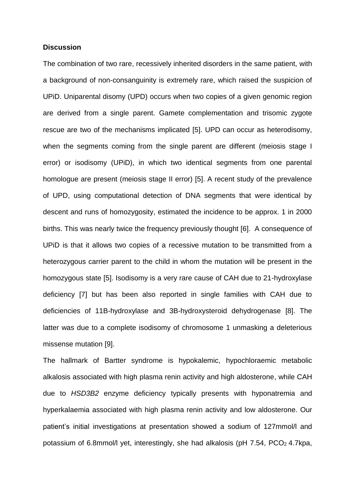#### **Discussion**

The combination of two rare, recessively inherited disorders in the same patient, with a background of non-consanguinity is extremely rare, which raised the suspicion of UPiD. Uniparental disomy (UPD) occurs when two copies of a given genomic region are derived from a single parent. Gamete complementation and trisomic zygote rescue are two of the mechanisms implicated [5]. UPD can occur as heterodisomy, when the segments coming from the single parent are different (meiosis stage I error) or isodisomy (UPiD), in which two identical segments from one parental homologue are present (meiosis stage II error) [5]. A recent study of the prevalence of UPD, using computational detection of DNA segments that were identical by descent and runs of homozygosity, estimated the incidence to be approx. 1 in 2000 births. This was nearly twice the frequency previously thought [6]. A consequence of UPiD is that it allows two copies of a recessive mutation to be transmitted from a heterozygous carrier parent to the child in whom the mutation will be present in the homozygous state [5]. Isodisomy is a very rare cause of CAH due to 21-hydroxylase deficiency [7] but has been also reported in single families with CAH due to deficiencies of 11B-hydroxylase and 3B-hydroxysteroid dehydrogenase [8]. The latter was due to a complete isodisomy of chromosome 1 unmasking a deleterious missense mutation [9].

The hallmark of Bartter syndrome is hypokalemic, hypochloraemic metabolic alkalosis associated with high plasma renin activity and high aldosterone, while CAH due to *HSD3B2* enzyme deficiency typically presents with hyponatremia and hyperkalaemia associated with high plasma renin activity and low aldosterone. Our patient's initial investigations at presentation showed a sodium of 127mmol/l and potassium of 6.8mmol/l yet, interestingly, she had alkalosis (pH 7.54, PCO<sup>2</sup> 4.7kpa,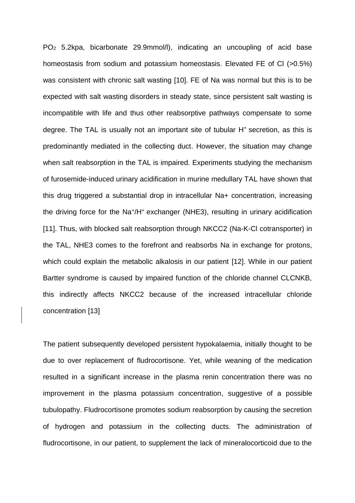PO<sup>2</sup> 5.2kpa, bicarbonate 29.9mmol/l), indicating an uncoupling of acid base homeostasis from sodium and potassium homeostasis. Elevated FE of Cl (>0.5%) was consistent with chronic salt wasting [10]. FE of Na was normal but this is to be expected with salt wasting disorders in steady state, since persistent salt wasting is incompatible with life and thus other reabsorptive pathways compensate to some degree. The TAL is usually not an important site of tubular H<sup>+</sup> secretion, as this is predominantly mediated in the collecting duct. However, the situation may change when salt reabsorption in the TAL is impaired. Experiments studying the mechanism of furosemide-induced urinary acidification in murine medullary TAL have shown that this drug triggered a substantial drop in intracellular Na+ concentration, increasing the driving force for the Na<sup>+</sup>/H<sup>+</sup> exchanger (NHE3), resulting in urinary acidification [11]. Thus, with blocked salt reabsorption through NKCC2 (Na-K-Cl cotransporter) in the TAL, NHE3 comes to the forefront and reabsorbs Na in exchange for protons, which could explain the metabolic alkalosis in our patient [12]. While in our patient Bartter syndrome is caused by impaired function of the chloride channel CLCNKB, this indirectly affects NKCC2 because of the increased intracellular chloride concentration [13]

The patient subsequently developed persistent hypokalaemia, initially thought to be due to over replacement of fludrocortisone. Yet, while weaning of the medication resulted in a significant increase in the plasma renin concentration there was no improvement in the plasma potassium concentration, suggestive of a possible tubulopathy. Fludrocortisone promotes sodium reabsorption by causing the secretion of hydrogen and potassium in the collecting ducts. The administration of fludrocortisone, in our patient, to supplement the lack of mineralocorticoid due to the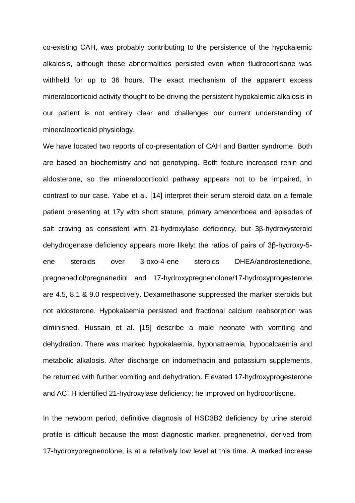co-existing CAH, was probably contributing to the persistence of the hypokalemic alkalosis, although these abnormalities persisted even when fludrocortisone was withheld for up to 36 hours. The exact mechanism of the apparent excess mineralocorticoid activity thought to be driving the persistent hypokalemic alkalosis in our patient is not entirely clear and challenges our current understanding of mineralocorticoid physiology.

We have located two reports of co-presentation of CAH and Bartter syndrome. Both are based on biochemistry and not genotyping. Both feature increased renin and aldosterone, so the mineralocorticoid pathway appears not to be impaired, in contrast to our case. Yabe et al. [14] interpret their serum steroid data on a female patient presenting at 17y with short stature, primary amenorrhoea and episodes of salt craving as consistent with 21-hydroxylase deficiency, but 3β-hydroxysteroid dehydrogenase deficiency appears more likely: the ratios of pairs of 3β-hydroxy-5 ene steroids over 3-oxo-4-ene steroids DHEA/androstenedione, pregnenediol/pregnanediol and 17-hydroxypregnenolone/17-hydroxyprogesterone are 4.5, 8.1 & 9.0 respectively. Dexamethasone suppressed the marker steroids but not aldosterone. Hypokalaemia persisted and fractional calcium reabsorption was diminished. Hussain et al. [15] describe a male neonate with vomiting and dehydration. There was marked hypokalaemia, hyponatraemia, hypocalcaemia and metabolic alkalosis. After discharge on indomethacin and potassium supplements, he returned with further vomiting and dehydration. Elevated 17-hydroxyprogesterone and ACTH identified 21-hydroxylase deficiency; he improved on hydrocortisone.

In the newborn period, definitive diagnosis of HSD3B2 deficiency by urine steroid profile is difficult because the most diagnostic marker, pregnenetriol, derived from 17-hydroxypregnenolone, is at a relatively low level at this time. A marked increase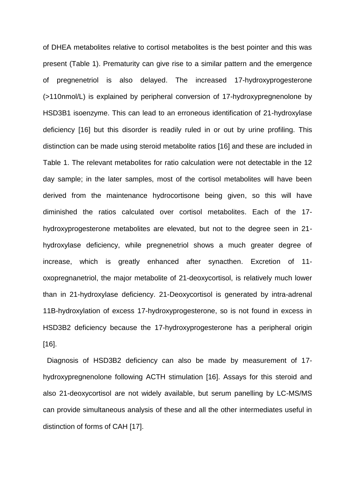of DHEA metabolites relative to cortisol metabolites is the best pointer and this was present (Table 1). Prematurity can give rise to a similar pattern and the emergence of pregnenetriol is also delayed. The increased 17-hydroxyprogesterone (>110nmol/L) is explained by peripheral conversion of 17-hydroxypregnenolone by HSD3B1 isoenzyme. This can lead to an erroneous identification of 21-hydroxylase deficiency [16] but this disorder is readily ruled in or out by urine profiling. This distinction can be made using steroid metabolite ratios [16] and these are included in Table 1. The relevant metabolites for ratio calculation were not detectable in the 12 day sample; in the later samples, most of the cortisol metabolites will have been derived from the maintenance hydrocortisone being given, so this will have diminished the ratios calculated over cortisol metabolites. Each of the 17 hydroxyprogesterone metabolites are elevated, but not to the degree seen in 21 hydroxylase deficiency, while pregnenetriol shows a much greater degree of increase, which is greatly enhanced after synacthen. Excretion of 11 oxopregnanetriol, the major metabolite of 21-deoxycortisol, is relatively much lower than in 21-hydroxylase deficiency. 21-Deoxycortisol is generated by intra-adrenal 11B-hydroxylation of excess 17-hydroxyprogesterone, so is not found in excess in HSD3B2 deficiency because the 17-hydroxyprogesterone has a peripheral origin [16].

 Diagnosis of HSD3B2 deficiency can also be made by measurement of 17 hydroxypregnenolone following ACTH stimulation [16]. Assays for this steroid and also 21-deoxycortisol are not widely available, but serum panelling by LC-MS/MS can provide simultaneous analysis of these and all the other intermediates useful in distinction of forms of CAH [17].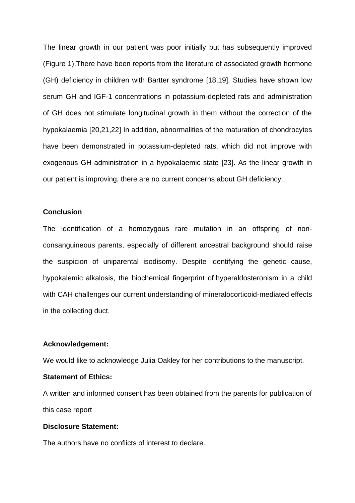The linear growth in our patient was poor initially but has subsequently improved (Figure 1).There have been reports from the literature of associated growth hormone (GH) deficiency in children with Bartter syndrome [18,19]. Studies have shown low serum GH and IGF-1 concentrations in potassium-depleted rats and administration of GH does not stimulate longitudinal growth in them without the correction of the hypokalaemia [20,21,22] In addition, abnormalities of the maturation of chondrocytes have been demonstrated in potassium-depleted rats, which did not improve with exogenous GH administration in a hypokalaemic state [23]. As the linear growth in our patient is improving, there are no current concerns about GH deficiency.

#### **Conclusion**

The identification of a homozygous rare mutation in an offspring of nonconsanguineous parents, especially of different ancestral background should raise the suspicion of uniparental isodisomy. Despite identifying the genetic cause, hypokalemic alkalosis, the biochemical fingerprint of hyperaldosteronism in a child with CAH challenges our current understanding of mineralocorticoid-mediated effects in the collecting duct.

## **Acknowledgement:**

We would like to acknowledge Julia Oakley for her contributions to the manuscript.

## **Statement of Ethics:**

A written and informed consent has been obtained from the parents for publication of this case report

## **Disclosure Statement:**

The authors have no conflicts of interest to declare.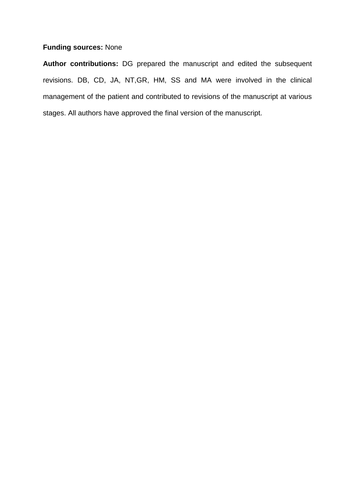## **Funding sources:** None

**Author contributions:** DG prepared the manuscript and edited the subsequent revisions. DB, CD, JA, NT,GR, HM, SS and MA were involved in the clinical management of the patient and contributed to revisions of the manuscript at various stages. All authors have approved the final version of the manuscript.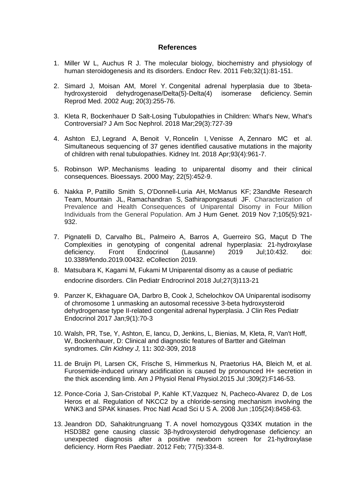#### **References**

- 1. Miller W L, Auchus R J. The molecular biology, biochemistry and physiology of human steroidogenesis and its disorders. Endocr Rev. 2011 Feb;32(1):81-151.
- 2. Simard J, Moisan AM, Morel Y. Congenital adrenal hyperplasia due to 3betahydroxysteroid dehydrogenase/Delta(5)-Delta(4) isomerase deficiency. Semin Reprod Med. 2002 Aug; 20(3):255-76.
- 3. Kleta R, Bockenhauer D Salt-Losing Tubulopathies in Children: What's New, What's Controversial? J Am Soc Nephrol. 2018 Mar;29(3):727-39
- 4. [Ashton EJ,](https://www.ncbi.nlm.nih.gov/pubmed/?term=Ashton%20EJ%5BAuthor%5D&cauthor=true&cauthor_uid=29398133) [Legrand A,](https://www.ncbi.nlm.nih.gov/pubmed/?term=Legrand%20A%5BAuthor%5D&cauthor=true&cauthor_uid=29398133) [Benoit V,](https://www.ncbi.nlm.nih.gov/pubmed/?term=Benoit%20V%5BAuthor%5D&cauthor=true&cauthor_uid=29398133) [Roncelin I,](https://www.ncbi.nlm.nih.gov/pubmed/?term=Roncelin%20I%5BAuthor%5D&cauthor=true&cauthor_uid=29398133) [Venisse A,](https://www.ncbi.nlm.nih.gov/pubmed/?term=Venisse%20A%5BAuthor%5D&cauthor=true&cauthor_uid=29398133) [Zennaro MC](https://www.ncbi.nlm.nih.gov/pubmed/?term=Zennaro%20MC%5BAuthor%5D&cauthor=true&cauthor_uid=29398133) et al. Simultaneous sequencing of 37 genes identified causative mutations in the majority of children with renal tubulopathies. Kidney Int. 2018 Apr;93(4):961-7.
- 5. Robinson WP. Mechanisms leading to uniparental disomy and their clinical consequences. Bioessays. 2000 May; 22(5):452-9.
- 6. [Nakka P,](https://www.ncbi.nlm.nih.gov/pubmed/?term=Nakka%20P%5BAuthor%5D&cauthor=true&cauthor_uid=31607426) [Pattillo Smith S,](https://www.ncbi.nlm.nih.gov/pubmed/?term=Pattillo%20Smith%20S%5BAuthor%5D&cauthor=true&cauthor_uid=31607426) [O'Donnell-Luria AH,](https://www.ncbi.nlm.nih.gov/pubmed/?term=O%27Donnell-Luria%20AH%5BAuthor%5D&cauthor=true&cauthor_uid=31607426) [McManus KF;](https://www.ncbi.nlm.nih.gov/pubmed/?term=McManus%20KF%5BAuthor%5D&cauthor=true&cauthor_uid=31607426) [23andMe Research](https://www.ncbi.nlm.nih.gov/pubmed/?term=23andMe%20Research%20Team%5BCorporate%20Author%5D)  [Team,](https://www.ncbi.nlm.nih.gov/pubmed/?term=23andMe%20Research%20Team%5BCorporate%20Author%5D) [Mountain JL,](https://www.ncbi.nlm.nih.gov/pubmed/?term=Mountain%20JL%5BAuthor%5D&cauthor=true&cauthor_uid=31607426) [Ramachandran S,](https://www.ncbi.nlm.nih.gov/pubmed/?term=Ramachandran%20S%5BAuthor%5D&cauthor=true&cauthor_uid=31607426) [Sathirapongsasuti JF.](https://www.ncbi.nlm.nih.gov/pubmed/?term=Sathirapongsasuti%20JF%5BAuthor%5D&cauthor=true&cauthor_uid=31607426) Characterization of Prevalence and Health Consequences of Uniparental Disomy in Four Million Individuals from the General Population. Am J Hum Genet. 2019 Nov 7;105(5):921- 932.
- 7. Pignatelli D, Carvalho BL, Palmeiro A, Barros A, Guerreiro SG, Maçut D The Complexities in genotyping of congenital adrenal hyperplasia: 21-hydroxylase deficiency. Front Endocrinol (Lausanne) 2019 Jul;10:432. doi: deficiency. Front Endocrinol (Lausanne) 2019 Jul;10:432. doi: 10.3389/fendo.2019.00432. eCollection 2019.
- 8. Matsubara K, Kagami M, Fukami M Uniparental disomy as a cause of pediatric endocrine disorders. Clin Pediatr Endrocrinol 2018 Jul;27(3)113-21
- 9. Panzer K, Ekhaguare OA, Darbro B, Cook J, Schelochkov OA Uniparental isodisomy of chromosome 1 unmasking an autosomal recessive 3-beta hydroxysteroid dehydrogenase type II-related congenital adrenal hyperplasia. J Clin Res Pediatr Endocrinol 2017 Jan;9(1):70-3
- 10. Walsh, PR, Tse, Y, Ashton, E, Iancu, D, Jenkins, L, Bienias, M, Kleta, R, Van't Hoff, W, Bockenhauer, D: Clinical and diagnostic features of Bartter and Gitelman syndromes. *Clin Kidney J,* 11**:** 302-309, 2018
- 11. de Bruijn PI, Larsen CK, Frische S, Himmerkus N, Praetorius HA, Bleich M, et al. Furosemide-induced urinary acidification is caused by pronounced H+ secretion in the thick ascending limb. Am J Physiol Renal Physiol.2015 Jul ;309(2):F146-53.
- 12. [Ponce-Coria J,](https://www.ncbi.nlm.nih.gov/pubmed/?term=Ponce-Coria%20J%5BAuthor%5D&cauthor=true&cauthor_uid=18550832) [San-Cristobal P,](https://www.ncbi.nlm.nih.gov/pubmed/?term=San-Cristobal%20P%5BAuthor%5D&cauthor=true&cauthor_uid=18550832) [Kahle KT,](https://www.ncbi.nlm.nih.gov/pubmed/?term=Kahle%20KT%5BAuthor%5D&cauthor=true&cauthor_uid=18550832)Vazquez N, [Pacheco-Alvarez D,](https://www.ncbi.nlm.nih.gov/pubmed/?term=Pacheco-Alvarez%20D%5BAuthor%5D&cauthor=true&cauthor_uid=18550832) de Los Heros et al. Regulation of NKCC2 by a chloride-sensing mechanism involving the WNK3 and SPAK kinases. Proc Natl Acad Sci U S A. 2008 Jun ;105(24):8458-63.
- 13. Jeandron DD, Sahakitrungruang T. A novel homozygous Q334X mutation in the HSD3B2 gene causing classic 3β-hydroxysteroid dehydrogenase deficiency: an unexpected diagnosis after a positive newborn screen for 21-hydroxylase deficiency. Horm Res Paediatr. 2012 Feb; 77(5):334-8.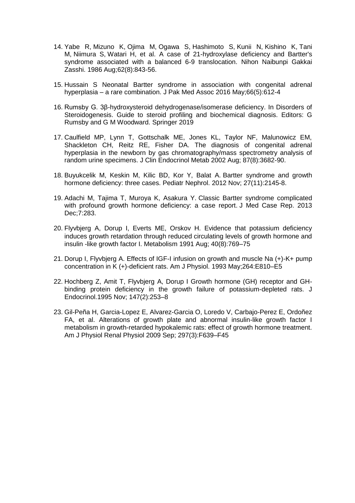- 14. [Yabe R,](https://www.ncbi.nlm.nih.gov/pubmed/?term=Yabe%20R%255BAuthor%255D&cauthor=true&cauthor_uid=3491009) [Mizuno K,](https://www.ncbi.nlm.nih.gov/pubmed/?term=Mizuno%20K%255BAuthor%255D&cauthor=true&cauthor_uid=3491009) [Ojima M,](https://www.ncbi.nlm.nih.gov/pubmed/?term=Ojima%20M%255BAuthor%255D&cauthor=true&cauthor_uid=3491009) [Ogawa S,](https://www.ncbi.nlm.nih.gov/pubmed/?term=Ogawa%20S%255BAuthor%255D&cauthor=true&cauthor_uid=3491009) [Hashimoto S,](https://www.ncbi.nlm.nih.gov/pubmed/?term=Hashimoto%20S%255BAuthor%255D&cauthor=true&cauthor_uid=3491009) [Kunii N,](https://www.ncbi.nlm.nih.gov/pubmed/?term=Kunii%20N%255BAuthor%255D&cauthor=true&cauthor_uid=3491009) [Kishino K,](https://www.ncbi.nlm.nih.gov/pubmed/?term=Kishino%20K%255BAuthor%255D&cauthor=true&cauthor_uid=3491009) [Tani](https://www.ncbi.nlm.nih.gov/pubmed/?term=Tani%20M%255BAuthor%255D&cauthor=true&cauthor_uid=3491009)  [M,](https://www.ncbi.nlm.nih.gov/pubmed/?term=Tani%20M%255BAuthor%255D&cauthor=true&cauthor_uid=3491009) [Niimura S,](https://www.ncbi.nlm.nih.gov/pubmed/?term=Niimura%20S%255BAuthor%255D&cauthor=true&cauthor_uid=3491009) [Watari H,](https://www.ncbi.nlm.nih.gov/pubmed/?term=Watari%20H%255BAuthor%255D&cauthor=true&cauthor_uid=3491009) et al. A case of 21-hydroxylase deficiency and Bartter's syndrome associated with a balanced 6-9 translocation. [Nihon Naibunpi Gakkai](https://www.ncbi.nlm.nih.gov/pubmed/3491009)  [Zasshi.](https://www.ncbi.nlm.nih.gov/pubmed/3491009) 1986 Aug;62(8):843-56.
- 15. Hussain S Neonatal Bartter syndrome in association with congenital adrenal hyperplasia – a rare combination. J Pak Med Assoc 2016 May;66(5):612-4
- 16. Rumsby G. 3β-hydroxysteroid dehydrogenase/isomerase deficiency. In Disorders of Steroidogenesis. Guide to steroid profiling and biochemical diagnosis. Editors: G Rumsby and G M Woodward. Springer 2019
- 17. Caulfield MP, Lynn T, Gottschalk ME, Jones KL, Taylor NF, Malunowicz EM, Shackleton CH, Reitz RE, Fisher DA. The diagnosis of congenital adrenal hyperplasia in the newborn by gas chromatography/mass spectrometry analysis of random urine specimens. J Clin Endocrinol Metab 2002 Aug; 87(8):3682-90.
- 18. Buyukcelik M, Keskin M, Kilic BD, Kor Y, Balat A. Bartter syndrome and growth hormone deficiency: three cases. Pediatr Nephrol. 2012 Nov; 27(11):2145-8.
- 19. Adachi M, Tajima T, Muroya K, Asakura Y. Classic Bartter syndrome complicated with profound growth hormone deficiency: a case report. J Med Case Rep. 2013 Dec;7:283.
- 20. Flyvbjerg A, Dorup I, Everts ME, Orskov H. Evidence that potassium deficiency induces growth retardation through reduced circulating levels of growth hormone and insulin -like growth factor I. Metabolism 1991 Aug; 40(8):769–75
- 21. Dorup I, Flyvbjerg A. Effects of IGF-I infusion on growth and muscle Na (+)-K+ pump concentration in K (+)-deficient rats. Am J Physiol. 1993 May;264:E810–E5
- 22. Hochberg Z, Amit T, Flyvbjerg A, Dorup I Growth hormone (GH) receptor and GHbinding protein deficiency in the growth failure of potassium-depleted rats. J Endocrinol.1995 Nov; 147(2):253–8
- 23. Gil-Peña H, Garcia-Lopez E, Alvarez-Garcia O, Loredo V, Carbajo-Perez E, Ordoñez FA, et al. Alterations of growth plate and abnormal insulin-like growth factor I metabolism in growth-retarded hypokalemic rats: effect of growth hormone treatment. Am J Physiol Renal Physiol 2009 Sep; 297(3):F639–F45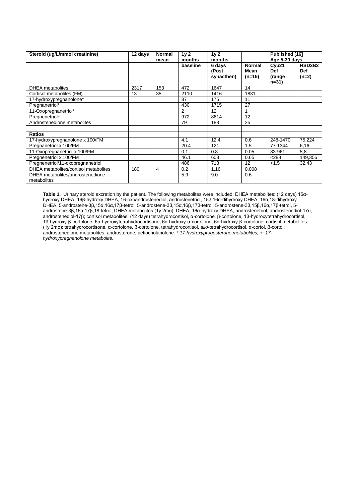| Steroid (ug/L/mmol creatinine)                  | 12 days | <b>Normal</b><br>mean | 1 <sub>V</sub> 2<br>months | 1 <sub>V</sub> 2<br>months    |                                   | Published [16]<br>Age 5-30 days           |                                 |
|-------------------------------------------------|---------|-----------------------|----------------------------|-------------------------------|-----------------------------------|-------------------------------------------|---------------------------------|
|                                                 |         |                       | baseline                   | 6 days<br>(Post<br>synacthen) | <b>Normal</b><br>Mean<br>$(n=15)$ | Cyp21<br><b>Def</b><br>(range<br>$n = 31$ | HSD3B2<br><b>Def</b><br>$(n=2)$ |
| <b>DHEA</b> metabolites                         | 2317    | 153                   | 472                        | 1647                          | 14                                |                                           |                                 |
| Cortisol metabolites (FM)                       | 13      | 35                    | 2110                       | 1416                          | 1831                              |                                           |                                 |
| 17-hydroxypregnanolone*                         |         |                       | 87                         | 175                           | 11                                |                                           |                                 |
| Pregnanetriol*                                  |         |                       | 430                        | 1715                          | 27                                |                                           |                                 |
| 11-Oxopregnanetriol*                            |         |                       | $\overline{2}$             | 12                            |                                   |                                           |                                 |
| Pregnenetriol+                                  |         |                       | 972                        | 8614                          | 12                                |                                           |                                 |
| Androstenedione metabolites                     |         |                       | 79                         | 183                           | 25                                |                                           |                                 |
|                                                 |         |                       |                            |                               |                                   |                                           |                                 |
| <b>Ratios</b>                                   |         |                       |                            |                               |                                   |                                           |                                 |
| 17-hydroxypregnanolone x 100/FM                 |         |                       | 4.1                        | 12.4                          | 0.6                               | 248-1470                                  | 75,224                          |
| Pregnanetriol x 100/FM                          |         |                       | 20.4                       | 121                           | 1.5                               | 77-1344                                   | 6,16                            |
| 11-Oxopregnanetriol x 100/FM                    |         |                       | 0.1                        | 0.8                           | 0.05                              | 83-961                                    | 5,8                             |
| Pregnenetriol x 100/FM                          |         |                       | 46.1                       | 608                           | 0.65                              | < 288                                     | 149,356                         |
| Pregnenetriol/11-oxopregnanetriol               |         |                       | 486                        | 718                           | 12                                | < 1.5                                     | 32,43                           |
| DHEA metabolites/cortisol metabolites           | 180     | 4                     | 0.2                        | 1.16                          | 0.008                             |                                           |                                 |
| DHEA metabolites/androstenedione<br>metabolites |         |                       | 5.9                        | 9.0                           | 0.6                               |                                           |                                 |

**Table 1.** Urinary steroid excretion by the patient. The following metabolites were included: DHEA metabolites: (12 days) 16αhydroxy DHEA, 16β-hydroxy DHEA, 16-oxoandrostenediol, androstenetriol, 15β,16α-dihydroxy DHEA, 16α,18-dihydroxy DHEA, 5-androstene-3β,15α,16α,17β-tetrol, 5-androstene-3β,15α,16β,17β-tetrol, 5-androstene-3β,15β,16α,17β-tetrol, 5 androstene-3β,16α,17β,18-tetrol; DHEA metabolites (1y 2mo): DHEA, 16α-hydroxy DHEA, androstenetriol, androstenediol-17α, androstenediol-17β; cortisol metabolites: (12 days) tetrahydrocortisol, α-cortolone, β-cortolone, 1β-hydroxytetrahydrocortisol, 1β-hydroxy-β-cortolone, 6α-hydroxytetrahydrocortisone, 6α-hydroxy-α-cortolone, 6α-hydroxy-β-cortolone; cortisol metabolites (1y 2mo): tetrahydrocortisone, α-cortolone, β-cortolone, tetrahydrocortisol, *allo*-tetrahydrocortisol, α-cortol, β-cortol; androstenedione metabolites: androsterone, aetiocholanolone. *\*:17-hydroxyprogesterone metabolites; +: 17 hydroxypregnenolone metabolite.*